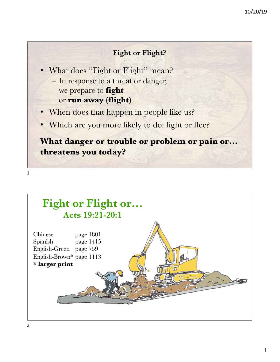### **Fight or Flight?**

- What does "Fight or Flight" mean?
	- In response to a threat or danger, we prepare to **fight** or **run away (flight)**
- When does that happen in people like us?
- Which are you more likely to do: fight or flee?

# **What danger or trouble or problem or pain or… threatens you today?**

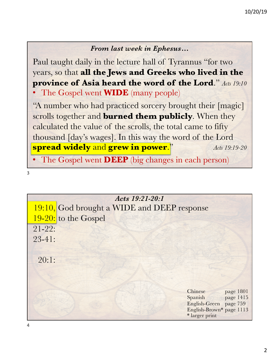### *From last week in Ephesus…*

Paul taught daily in the lecture hall of Tyrannus "for two years, so that **all the Jews and Greeks who lived in the province of Asia heard the word of the Lord**." *Acts 19:10*

• The Gospel went **WIDE** (many people)

"A number who had practiced sorcery brought their [magic] scrolls together and **burned them publicly**. When they calculated the value of the scrolls, the total came to fifty thousand [day's wages]. In this way the word of the Lord **spread widely** and **grew in power**." *Acts 19:19-20*

• The Gospel went **DEEP** (big changes in each person)

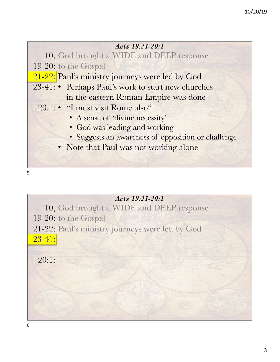

### *Acts 19:21-20:1*

10, God brought a WIDE and DEEP response 19-20: to the Gospel 21-22: Paul's ministry journeys were led by God 23-41:

20:1: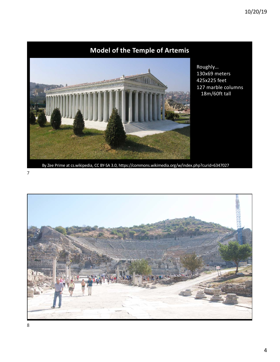## **Model of the Temple of Artemis**



Roughly… 130x69 meters 425x225 feet 127 marble columns 18m/60ft tall

By Zee Prime at cs.wikipedia, CC BY-SA 3.0, https://commons.wikimedia.org/w/index.php?curid=6347027

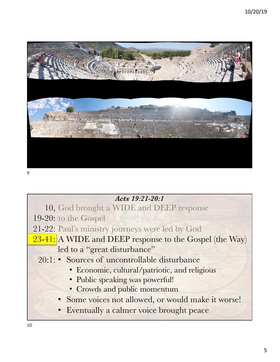

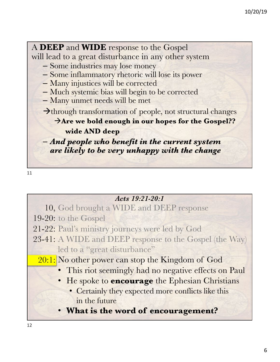A **DEEP** and **WIDE** response to the Gospel will lead to a great disturbance in any other system – Some industries may lose money – Some inflammatory rhetoric will lose its power – Many injustices will be corrected – Much systemic bias will begin to be corrected – Many unmet needs will be met  $\rightarrow$  through transformation of people, not structural changes  $\rightarrow$ Are we bold enough in our hopes for the Gospel?? **wide AND deep** – *And people who benefit in the current system are likely to be very unhappy with the change*

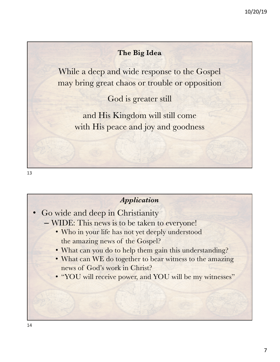### **The Big Idea**

While a deep and wide response to the Gospel may bring great chaos or trouble or opposition

God is greater still

and His Kingdom will still come with His peace and joy and goodness

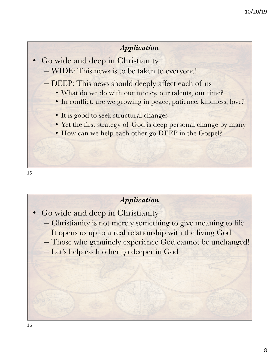#### *Application*

- Go wide and deep in Christianity
	- WIDE: This news is to be taken to everyone!
	- DEEP: This news should deeply affect each of us
		- What do we do with our money, our talents, our time?
		- In conflict, are we growing in peace, patience, kindness, love?
		- It is good to seek structural changes
		- Yet the first strategy of God is deep personal change by many
		- How can we help each other go DEEP in the Gospel?

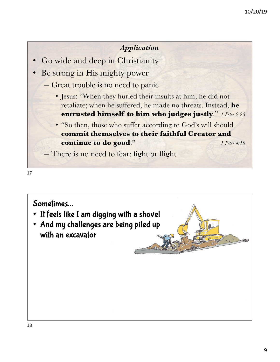#### *Application*

- Go wide and deep in Christianity
- Be strong in His mighty power
	- Great trouble is no need to panic
		- Jesus: "When they hurled their insults at him, he did not retaliate; when he suffered, he made no threats. Instead, **he entrusted himself to him who judges justly**." *1 Peter 2:23*
		- "So then, those who suffer according to God's will should **commit themselves to their faithful Creator and continue to do good."** *1 Peter 4:19*

– There is no need to fear: fight or flight

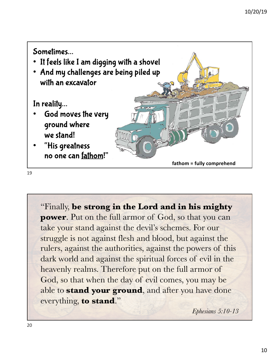

"Finally, **be strong in the Lord and in his mighty power**. Put on the full armor of God, so that you can take your stand against the devil's schemes. For our struggle is not against flesh and blood, but against the rulers, against the authorities, against the powers of this dark world and against the spiritual forces of evil in the heavenly realms. Therefore put on the full armor of God, so that when the day of evil comes, you may be able to **stand your ground**, and after you have done everything, **to stand**."

*Ephesians 5:10-13*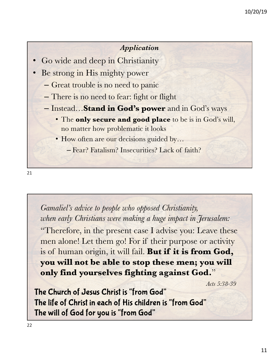#### *Application*

- Go wide and deep in Christianity
- Be strong in His mighty power
	- Great trouble is no need to panic
	- There is no need to fear: fight or flight
	- Instead…**Stand in God's power** and in God's ways
		- The **only secure and good place** to be is in God's will, no matter how problematic it looks
		- How often are our decisions guided by...
			- Fear? Fatalism? Insecurities? Lack of faith?

21

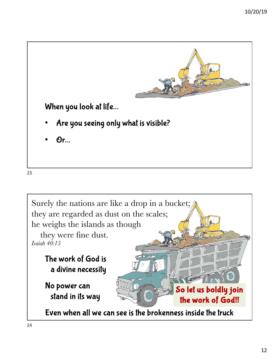